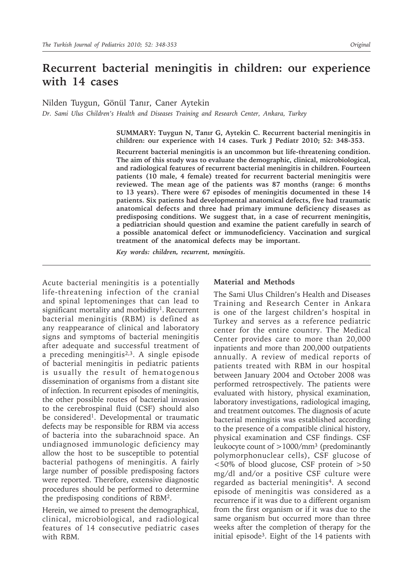# **Recurrent bacterial meningitis in children: our experience with 14 cases**

Nilden Tuygun, Gönül Tanır, Caner Aytekin

*Dr. Sami Ulus Children's Health and Diseases Training and Research Center, Ankara, Turkey*

**SUMMARY: Tuygun N, Tanır G, Aytekin C. Recurrent bacterial meningitis in children: our experience with 14 cases. Turk J Pediatr 2010; 52: 348-353.**

**Recurrent bacterial meningitis is an uncommon but life-threatening condition. The aim of this study was to evaluate the demographic, clinical, microbiological, and radiological features of recurrent bacterial meningitis in children. Fourteen patients (10 male, 4 female) treated for recurrent bacterial meningitis were reviewed. The mean age of the patients was 87 months (range: 6 months to 13 years). There were 67 episodes of meningitis documented in these 14 patients. Six patients had developmental anatomical defects, five had traumatic anatomical defects and three had primary immune deficiency diseases as predisposing conditions. We suggest that, in a case of recurrent meningitis, a pediatrician should question and examine the patient carefully in search of a possible anatomical defect or immunodeficiency. Vaccination and surgical treatment of the anatomical defects may be important.**

*Key words: children, recurrent, meningitis.* 

Acute bacterial meningitis is a potentially life-threatening infection of the cranial and spinal leptomeninges that can lead to significant mortality and morbidity<sup>1</sup>. Recurrent bacterial meningitis (RBM) is defined as any reappearance of clinical and laboratory signs and symptoms of bacterial meningitis after adequate and successful treatment of a preceding meningitis<sup>2,3</sup>. A single episode of bacterial meningitis in pediatric patients is usually the result of hematogenous dissemination of organisms from a distant site of infection. In recurrent episodes of meningitis, the other possible routes of bacterial invasion to the cerebrospinal fluid (CSF) should also be considered<sup>1</sup>. Developmental or traumatic defects may be responsible for RBM via access of bacteria into the subarachnoid space. An undiagnosed immunologic deficiency may allow the host to be susceptible to potential bacterial pathogens of meningitis. A fairly large number of possible predisposing factors were reported. Therefore, extensive diagnostic procedures should be performed to determine the predisposing conditions of RBM2.

Herein, we aimed to present the demographical, clinical, microbiological, and radiological features of 14 consecutive pediatric cases with RBM.

#### **Material and Methods**

The Sami Ulus Children's Health and Diseases Training and Research Center in Ankara is one of the largest children's hospital in Turkey and serves as a reference pediatric center for the entire country. The Medical Center provides care to more than 20,000 inpatients and more than 200,000 outpatients annually. A review of medical reports of patients treated with RBM in our hospital between January 2004 and October 2008 was performed retrospectively. The patients were evaluated with history, physical examination, laboratory investigations, radiological imaging, and treatment outcomes. The diagnosis of acute bacterial meningitis was established according to the presence of a compatible clinical history, physical examination and CSF findings. CSF leukocyte count of  $>1000/mm^3$  (predominantly polymorphonuclear cells), CSF glucose of <50% of blood glucose, CSF protein of >50 mg/dl and/or a positive CSF culture were regarded as bacterial meningitis<sup>4</sup>. A second episode of meningitis was considered as a recurrence if it was due to a different organism from the first organism or if it was due to the same organism but occurred more than three weeks after the completion of therapy for the initial episode3. Eight of the 14 patients with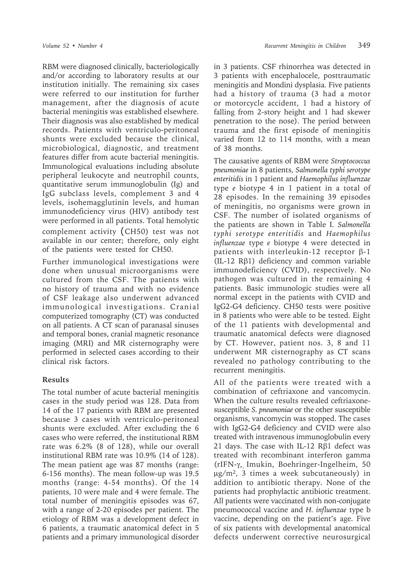RBM were diagnosed clinically, bacteriologically and/or according to laboratory results at our institution initially. The remaining six cases were referred to our institution for further management, after the diagnosis of acute bacterial meningitis was established elsewhere. Their diagnosis was also established by medical records. Patients with ventriculo-peritoneal shunts were excluded because the clinical, microbiological, diagnostic, and treatment features differ from acute bacterial meningitis. Immunological evaluations including absolute peripheral leukocyte and neutrophil counts, quantitative serum immunoglobulin (Ig) and IgG subclass levels, complement 3 and 4 levels, isohemagglutinin levels, and human immunodeficiency virus (HIV) antibody test were performed in all patients. Total hemolytic complement activity (CH50) test was not available in our center; therefore, only eight of the patients were tested for CH50.

Further immunological investigations were done when unusual microorganisms were cultured from the CSF. The patients with no history of trauma and with no evidence of CSF leakage also underwent advanced immunological investigations. Cranial computerized tomography (CT) was conducted on all patients. A CT scan of paranasal sinuses and temporal bones, cranial magnetic resonance imaging (MRI) and MR cisternography were performed in selected cases according to their clinical risk factors.

### **Results**

The total number of acute bacterial meningitis cases in the study period was 128. Data from 14 of the 17 patients with RBM are presented because 3 cases with ventriculo-peritoneal shunts were excluded. After excluding the 6 cases who were referred, the institutional RBM rate was 6.2% (8 of 128), while our overall institutional RBM rate was 10.9% (14 of 128). The mean patient age was 87 months (range: 6-156 months). The mean follow-up was 19.5 months (range: 4-54 months). Of the 14 patients, 10 were male and 4 were female. The total number of meningitis episodes was 67, with a range of 2-20 episodes per patient. The etiology of RBM was a development defect in 6 patients, a traumatic anatomical defect in 5 patients and a primary immunological disorder

in 3 patients. CSF rhinorrhea was detected in 3 patients with encephalocele, posttraumatic meningitis and Mondini dysplasia. Five patients had a history of trauma (3 had a motor or motorcycle accident, 1 had a history of falling from 2-story height and 1 had skewer penetration to the nose). The period between trauma and the first episode of meningitis varied from 12 to 114 months, with a mean of 38 months.

The causative agents of RBM were *Streptococcus pneumoniae* in 8 patients, *Salmonella typhi serotype enteritidis* in 1 patient and *Haemophilus influenzae* type *e* biotype 4 in 1 patient in a total of 28 episodes. In the remaining 39 episodes of meningitis, no organisms were grown in CSF. The number of isolated organisms of the patients are shown in Table I. *Salmonella typhi serotype enteritidis* and *Haemophilus influenzae* type *e* biotype 4 were detected in patients with interleukin-12 receptor β-1 (IL-12 Rβ1) deficiency and common variable immunodeficiency (CVID), respectively. No pathogen was cultured in the remaining 4 patients. Basic immunologic studies were all normal except in the patients with CVID and IgG2-G4 deficiency. CH50 tests were positive in 8 patients who were able to be tested. Eight of the 11 patients with developmental and traumatic anatomical defects were diagnosed by CT. However, patient nos. 3, 8 and 11 underwent MR cisternography as CT scans revealed no pathology contributing to the recurrent meningitis.

All of the patients were treated with a combination of ceftriaxone and vancomycin. When the culture results revealed ceftriaxonesusceptible *S. pneumoniae* or the other susceptible organisms, vancomycin was stopped. The cases with IgG2-G4 deficiency and CVID were also treated with intravenous immunoglobulin every 21 days. The case with IL-12 Rβ1 defect was treated with recombinant interferon gamma (rIFN-γ, Imukin, Boehringer-Ingelheim, 50  $\mu$ g/m<sup>2</sup>, 3 times a week subcutaneously) in addition to antibiotic therapy. None of the patients had prophylactic antibiotic treatment. All patients were vaccinated with non-conjugate pneumococcal vaccine and *H. influenzae* type b vaccine, depending on the patient's age. Five of six patients with developmental anatomical defects underwent corrective neurosurgical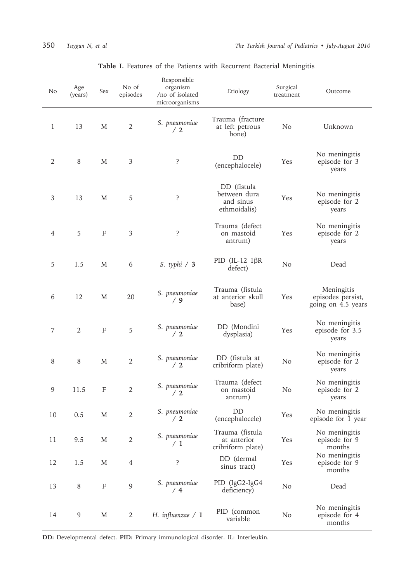| 350 | Tuygun N, et al |  |  |  |
|-----|-----------------|--|--|--|
|-----|-----------------|--|--|--|

| No | Age<br>(years) | Sex          | No of<br>episodes | Responsible<br>organism<br>/no of isolated<br>microorganisms | Etiology                                                 | Surgical<br>treatment | Outcome                                               |  |
|----|----------------|--------------|-------------------|--------------------------------------------------------------|----------------------------------------------------------|-----------------------|-------------------------------------------------------|--|
| 1  | 13             | M            | $\overline{2}$    | S. pneumoniae<br>/2                                          | Trauma (fracture<br>at left petrous<br>bone)             | N <sub>o</sub>        | Unknown                                               |  |
| 2  | 8              | M            | 3                 | ?                                                            | DD<br>(encephalocele)                                    | Yes                   | No meningitis<br>episode for 3<br>years               |  |
| 3  | 13             | M            | 5                 | ?                                                            | DD (fistula<br>between dura<br>and sinus<br>ethmoidalis) | Yes                   | No meningitis<br>episode for 2<br>years               |  |
| 4  | 5              | F            | 3                 | ?                                                            | Trauma (defect<br>on mastoid<br>antrum)                  | Yes                   | No meningitis<br>episode for 2<br>years               |  |
| 5  | 1.5            | M            | 6                 | S. typhi $/3$                                                | PID (IL-12 $1\beta R$<br>defect)                         | N <sub>o</sub>        | Dead                                                  |  |
| 6  | 12             | M            | 20                | S. pneumoniae<br>/9                                          | Trauma (fistula<br>at anterior skull<br>base)            | Yes                   | Meningitis<br>episodes persist,<br>going on 4.5 years |  |
| 7  | 2              | $\mathbf{F}$ | 5                 | S. pneumoniae<br>/2                                          | DD (Mondini<br>dysplasia)                                | Yes                   | No meningitis<br>episode for 3.5<br>years             |  |
| 8  | 8              | M            | $\overline{2}$    | S. pneumoniae<br>/2                                          | DD (fistula at<br>cribriform plate)                      | N <sub>o</sub>        | No meningitis<br>episode for 2<br>years               |  |
| 9  | 11.5           | F            | $\overline{2}$    | S. pneumoniae<br>/2                                          | Trauma (defect<br>on mastoid<br>antrum)                  | N <sub>o</sub>        | No meningitis<br>episode for 2<br>years               |  |
| 10 | 0.5            | M            | $\overline{2}$    | S. pneumoniae<br>/2                                          | DD<br>(encephalocele)                                    | Yes                   | No meningitis<br>episode for 1 year                   |  |
| 11 | 9.5            | M            | $\sqrt{2}$        | S. pneumoniae<br>/1                                          | Trauma (fistula<br>at anterior<br>cribriform plate)      | Yes                   | No meningitis<br>episode for 9<br>months              |  |
| 12 | 1.5            | M            | $\overline{4}$    | ?                                                            | DD (dermal<br>sinus tract)                               | Yes                   | No meningitis<br>episode for 9<br>months              |  |
| 13 | $\,8\,$        | F            | $\overline{9}$    | S. pneumoniae<br>/4                                          | PID (IgG2-IgG4<br>deficiency)                            | No                    | Dead                                                  |  |
| 14 | 9              | M            | $\overline{2}$    | H. influenzae $/1$                                           | PID (common<br>variable                                  | No                    | No meningitis<br>episode for 4<br>months              |  |

## **Table I.** Features of the Patients with Recurrent Bacterial Meningitis

**DD:** Developmental defect. **PID:** Primary immunological disorder. IL: Interleukin.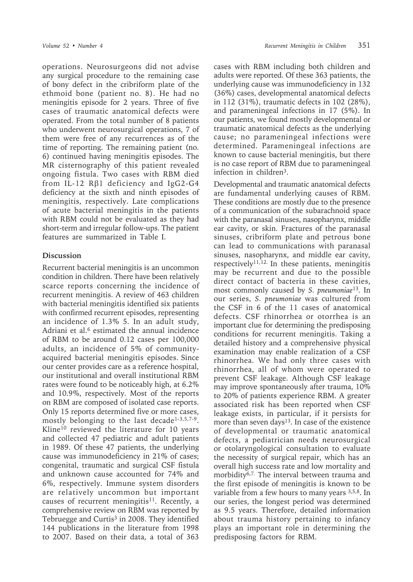operations. Neurosurgeons did not advise any surgical procedure to the remaining case of bony defect in the cribriform plate of the ethmoid bone (patient no. 8). He had no meningitis episode for 2 years. Three of five cases of traumatic anatomical defects were operated. From the total number of 8 patients who underwent neurosurgical operations, 7 of them were free of any recurrences as of the time of reporting. The remaining patient (no. 6) continued having meningitis episodes. The MR cisternography of this patient revealed ongoing fistula. Two cases with RBM died from IL-12 Rβ1 deficiency and IgG2-G4 deficiency at the sixth and ninth episodes of meningitis, respectively. Late complications of acute bacterial meningitis in the patients with RBM could not be evaluated as they had short-term and irregular follow-ups. The patient features are summarized in Table I.

### **Discussion**

Recurrent bacterial meningitis is an uncommon condition in children. There have been relatively scarce reports concerning the incidence of recurrent meningitis. A review of 463 children with bacterial meningitis identified six patients with confirmed recurrent episodes, representing an incidence of 1.3% 5. In an adult study, Adriani et al.<sup>6</sup> estimated the annual incidence of RBM to be around 0.12 cases per 100,000 adults, an incidence of 5% of communityacquired bacterial meningitis episodes. Since our center provides care as a reference hospital, our institutional and overall institutional RBM rates were found to be noticeably high, at 6.2% and 10.9%, respectively. Most of the reports on RBM are composed of isolated case reports. Only 15 reports determined five or more cases, mostly belonging to the last decade<sup>1-3,5,7-9</sup>. Kline10 reviewed the literature for 10 years and collected 47 pediatric and adult patients in 1989. Of these 47 patients, the underlying cause was immunodeficiency in 21% of cases; congenital, traumatic and surgical CSF fistula and unknown cause accounted for 74% and 6%, respectively. Immune system disorders are relatively uncommon but important causes of recurrent meningitis<sup>11</sup>. Recently, a comprehensive review on RBM was reported by Tebruegge and Curtis<sup>3</sup> in 2008. They identified 144 publications in the literature from 1998 to 2007. Based on their data, a total of 363

cases with RBM including both children and adults were reported. Of these 363 patients, the underlying cause was immunodeficiency in 132 (36%) cases, developmental anatomical defects in 112 (31%), traumatic defects in 102 (28%), and parameningeal infections in 17 (5%). In our patients, we found mostly developmental or traumatic anatomical defects as the underlying cause; no parameningeal infections were determined. Parameningeal infections are known to cause bacterial meningitis, but there is no case report of RBM due to parameningeal infection in children3.

Developmental and traumatic anatomical defects are fundamental underlying causes of RBM. These conditions are mostly due to the presence of a communication of the subarachnoid space with the paranasal sinuses, nasopharynx, middle ear cavity, or skin. Fractures of the paranasal sinuses, cribriform plate and petrous bone can lead to communications with paranasal sinuses, nasopharynx, and middle ear cavity, respectively<sup>11,12.</sup> In these patients, meningitis may be recurrent and due to the possible direct contact of bacteria in these cavities, most commonly caused by *S. pneumoniae*<sup>13</sup>*.* In our series, *S. pneumoniae* was cultured from the CSF in 6 of the 11 cases of anatomical defects. CSF rhinorrhea or otorrhea is an important clue for determining the predisposing conditions for recurrent meningitis. Taking a detailed history and a comprehensive physical examination may enable realization of a CSF rhinorrhea. We had only three cases with rhinorrhea, all of whom were operated to prevent CSF leakage. Although CSF leakage may improve spontaneously after trauma, 10% to 20% of patients experience RBM. A greater associated risk has been reported when CSF leakage exists, in particular, if it persists for more than seven days<sup>13</sup>. In case of the existence of developmental or traumatic anatomical defects, a pediatrician needs neurosurgical or otolaryngological consultation to evaluate the necessity of surgical repair, which has an overall high success rate and low mortality and morbidity<sup>6,7.</sup> The interval between trauma and the first episode of meningitis is known to be variable from a few hours to many years 3,5,8. In our series, the longest period was determined as 9.5 years. Therefore, detailed information about trauma history pertaining to infancy plays an important role in determining the predisposing factors for RBM.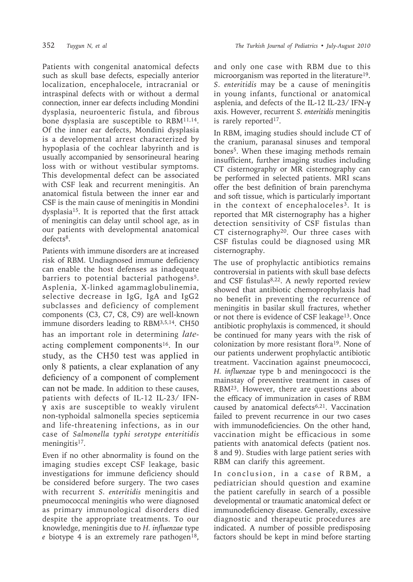Patients with congenital anatomical defects such as skull base defects, especially anterior localization, encephalocele, intracranial or intraspinal defects with or without a dermal connection, inner ear defects including Mondini dysplasia, neuroenteric fistula, and fibrous bone dysplasia are susceptible to RBM11,14. Of the inner ear defects, Mondini dysplasia is a developmental arrest characterized by hypoplasia of the cochlear labyrinth and is usually accompanied by sensorineural hearing loss with or without vestibular symptoms. This developmental defect can be associated with CSF leak and recurrent meningitis. An anatomical fistula between the inner ear and CSF is the main cause of meningitis in Mondini dysplasia15. It is reported that the first attack of meningitis can delay until school age, as in our patients with developmental anatomical defects<sup>8</sup>.

Patients with immune disorders are at increased risk of RBM. Undiagnosed immune deficiency can enable the host defenses as inadequate barriers to potential bacterial pathogens<sup>5</sup>. Asplenia, X-linked agammaglobulinemia, selective decrease in IgG, IgA and IgG2 subclasses and deficiency of complement components (C3, C7, C8, C9) are well-known immune disorders leading to RBM3,5,14. CH50 has an important role in determining *late*acting complement components16. In our study, as the CH50 test was applied in only 8 patients, a clear explanation of any deficiency of a component of complement can not be made. In addition to these causes, patients with defects of IL-12 IL-23/ IFNγ axis are susceptible to weakly virulent non-typhoidal salmonella species septicemia and life-threatening infections, as in our case of *Salmonella typhi serotype enteritidis*  meningitis<sup>17</sup>.

Even if no other abnormality is found on the imaging studies except CSF leakage, basic investigations for immune deficiency should be considered before surgery. The two cases with recurrent *S. enteritidis* meningitis and pneumococcal meningitis who were diagnosed as primary immunological disorders died despite the appropriate treatments. To our knowledge, meningitis due to *H. influenzae* type *e* biotype 4 is an extremely rare pathogen<sup>18</sup>, and only one case with RBM due to this microorganism was reported in the literature<sup>19</sup>. *S. enteritidis* may be a cause of meningitis in young infants, functional or anatomical asplenia, and defects of the IL-12 IL-23/ IFN-γ axis. However, recurrent *S. enteritidis* meningitis is rarely reported<sup>17</sup>.

In RBM, imaging studies should include CT of the cranium, paranasal sinuses and temporal bones5. When these imaging methods remain insufficient, further imaging studies including CT cisternography or MR cisternography can be performed in selected patients. MRI scans offer the best definition of brain parenchyma and soft tissue, which is particularly important in the context of encephaloceles<sup>3</sup>. It is reported that MR cisternography has a higher detection sensitivity of CSF fistulas than CT cisternography<sup>20</sup>. Our three cases with CSF fistulas could be diagnosed using MR cisternography.

The use of prophylactic antibiotics remains controversial in patients with skull base defects and CSF fistulas<sup>8,22</sup>. A newly reported review showed that antibiotic chemoprophylaxis had no benefit in preventing the recurrence of meningitis in basilar skull fractures, whether or not there is evidence of CSF leakage<sup>13</sup>. Once antibiotic prophylaxis is commenced, it should be continued for many years with the risk of colonization by more resistant flora19. None of our patients underwent prophylactic antibiotic treatment. Vaccination against pneumococci, *H. influenzae* type b and meningococci is the mainstay of preventive treatment in cases of RBM23. However, there are questions about the efficacy of immunization in cases of RBM caused by anatomical defects<sup>6,21</sup>. Vaccination failed to prevent recurrence in our two cases with immunodeficiencies. On the other hand, vaccination might be efficacious in some patients with anatomical defects (patient nos. 8 and 9). Studies with large patient series with RBM can clarify this agreement.

In conclusion, in a case of RBM, a pediatrician should question and examine the patient carefully in search of a possible developmental or traumatic anatomical defect or immunodeficiency disease. Generally, excessive diagnostic and therapeutic procedures are indicated. A number of possible predisposing factors should be kept in mind before starting